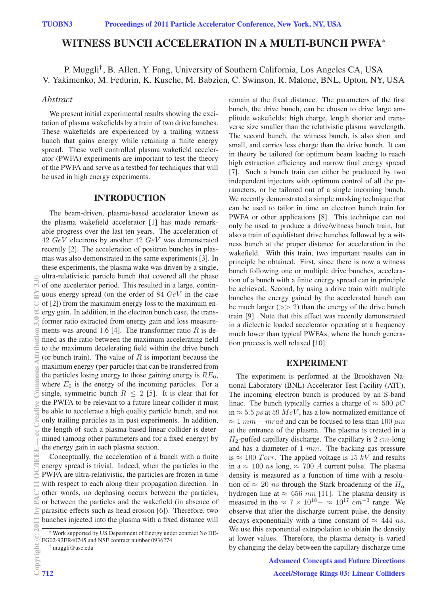# WITNESS BUNCH ACCELERATION IN A MULTI-BUNCH PWFA<sup>∗</sup>

# P. Muggli† , B. Allen, Y. Fang, University of Southern California, Los Angeles CA, USA V. Yakimenko, M. Fedurin, K. Kusche, M. Babzien, C. Swinson, R. Malone, BNL, Upton, NY, USA

### *Abstract*

We present initial experimental results showing the excitation of plasma wakefields by a train of two drive bunches. These wakefields are experienced by a trailing witness bunch that gains energy while retaining a finite energy spread. These well controlled plasma wakefield accelerator (PWFA) experiments are important to test the theory of the PWFA and serve as a testbed for techniques that will be used in high energy experiments.

## INTRODUCTION

The beam-driven, plasma-based accelerator known as the plasma wakefield accelerator [1] has made remarkable progress over the last ten years. The acceleration of  $42 \text{ GeV}$  electrons by another  $42 \text{ GeV}$  was demonstrated recently [2]. The acceleration of positron bunches in plasmas was also demonstrated in the same experiments [3]. In these experiments, the plasma wake was driven by a single, ultra-relativistic particle bunch that covered all the phase of one accelerator period. This resulted in a large, continuous energy spread (on the order of 84 GeV in the case of [2]) from the maximum energy loss to the maximum energy gain. In addition, in the electron bunch case, the transformer ratio extracted from energy gain and loss measurements was around 1.6 [4]. The transformer ratio  $R$  is defined as the ratio between the maximum accelerating field to the maximum decelerating field within the drive bunch (or bunch train). The value of  $R$  is important because the maximum energy (per particle) that can be transferred from the particles losing energy to those gaining energy is  $RE_0$ , where  $E_0$  is the energy of the incoming particles. For a single, symmetric bunch  $R \leq 2$  [5]. It is clear that for the PWFA to be relevant to a future linear collider it must be able to accelerate a high quality particle bunch, and not only trailing particles as in past experiments. In addition, the length of such a plasma-based linear collider is determined (among other parameters and for a fixed energy) by the energy gain in each plasma section.

Conceptually, the acceleration of a bunch with a finite energy spread is trivial. Indeed, when the particles in the PWFA are ultra-relativistic, the particles are frozen in time with respect to each along their propagation direction. In other words, no dephasing occurs between the particles, or between the particles and the wakefield (in absence of parasitic effects such as head erosion [6]). Therefore, two bunches injected into the plasma with a fixed distance will

† muggli@usc.edu

remain at the fixed distance. The parameters of the first bunch, the drive bunch, can be chosen to drive large amplitude wakefields: high charge, length shorter and transverse size smaller than the relativistic plasma wavelength. The second bunch, the witness bunch, is also short and small, and carries less charge than the drive bunch. It can in theory be tailored for optimum beam loading to reach high extraction efficiency and narrow final energy spread [7]. Such a bunch train can either be produced by two independent injectors with optimum control of all the parameters, or be tailored out of a single incoming bunch. We recently demonstrated a simple masking technique that can be used to tailor in time an electron bunch train for PWFA or other applications [8]. This technique can not only be used to produce a drive/witness bunch train, but also a train of equidistant drive bunches followed by a witness bunch at the proper distance for acceleration in the wakefield. With this train, two important results can in principle be obtained. First, since there is now a witness bunch following one or multiple drive bunches, acceleration of a bunch with a finite energy spread can in principle be achieved. Second, by using a drive train with multiple bunches the energy gained by the accelerated bunch can be much larger  $(>> 2)$  than the energy of the drive bunch train [9]. Note that this effect was recently demonstrated in a dielectric loaded accelerator operating at a frequency much lower than typical PWFAs, where the bunch generation process is well relaxed [10].

#### EXPERIMENT

The experiment is performed at the Brookhaven National Laboratory (BNL) Accelerator Test Facility (ATF). The incoming electron bunch is produced by an S-band linac. The bunch typically carries a charge of  $\approx 500 \text{ pC}$ in  $\approx$  5.5 ps at 59 MeV, has a low normalized emittance of  $\approx 1$  mm – mrad and can be focused to less than 100  $\mu$ m at the entrance of the plasma. The plasma is created in a  $H_2$ -puffed capillary discharge. The capillary is 2  $cm$ -long and has a diameter of  $1$   $mm$ . The backing gas pressure is  $\approx 100$  Torr. The applied voltage is 15 kV and results in a  $\approx 100$  *ns* long,  $\approx 700$  *A* current pulse. The plasma density is measured as a function of time with a resolution of  $\approx$  20 *ns* through the Stark broadening of the  $H_{\alpha}$ hydrogen line at  $\approx 656$  nm [11]. The plasma density is measured in the  $\approx 7 \times 10^{18} - \approx 10^{17}$  cm<sup>-3</sup> range. We observe that after the discharge current pulse, the density decays exponentially with a time constant of  $\approx$  444 ns. We use this exponential extrapolation to obtain the density at lower values. Therefore, the plasma density is varied by changing the delay between the capillary discharge time

> Advanced Concepts and Future Directions Accel/Storage Rings 03: Linear Colliders

 $3.0)$ 

<sup>∗</sup>Work supported by US Department of Energy under contract No DE-FG02-92ER40745 and NSF contract number 0936274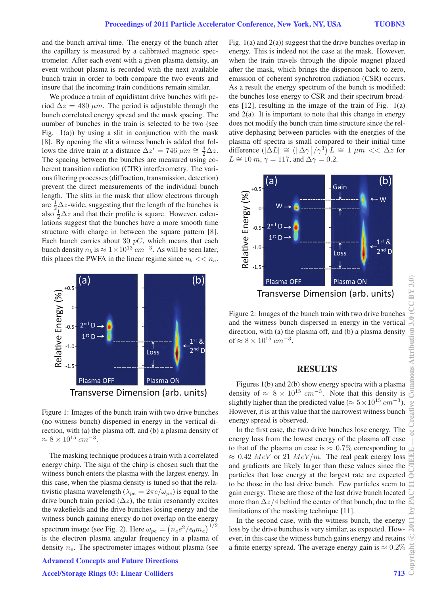and the bunch arrival time. The energy of the bunch after the capillary is measured by a calibrated magnetic spectrometer. After each event with a given plasma density, an event without plasma is recorded with the next available bunch train in order to both compare the two events and insure that the incoming train conditions remain similar.

We produce a train of equidistant drive bunches with period  $\Delta z = 480 \ \mu m$ . The period is adjustable through the bunch correlated energy spread and the mask spacing. The number of bunches in the train is selected to be two (see Fig.  $1(a)$ ) by using a slit in conjunction with the mask [8]. By opening the slit a witness bunch is added that follows the drive train at a distance  $\Delta z' = 746 \ \mu m \approx \frac{3}{2}\Delta z$ . The spacing between the bunches are measured using coherent transition radiation (CTR) interferometry. The various filtering processes (diffraction, transmission, detection) prevent the direct measurements of the individual bunch length. The slits in the mask that allow electrons through are  $\frac{1}{2}\Delta z$ -wide, suggesting that the length of the bunches is also  $\frac{1}{2}\Delta z$  and that their profile is square. However, calculations suggest that the bunches have a more smooth time structure with charge in between the square pattern [8]. Each bunch carries about 30  $pC$ , which means that each bunch density  $n_b$  is  $\approx 1 \times 10^{13}$  cm<sup>-3</sup>. As will be seen later, this places the PWFA in the linear regime since  $n_b \ll n_e$ .



Figure 1: Images of the bunch train with two drive bunches (no witness bunch) dispersed in energy in the vertical direction, with (a) the plasma off, and (b) a plasma density of  $\approx 8 \times 10^{15} \ cm^{-3}$ .

The masking technique produces a train with a correlated energy chirp. The sign of the chirp is chosen such that the witness bunch enters the plasma with the largest energy. In this case, when the plasma density is tuned so that the relativistic plasma wavelength ( $\lambda_{pe} = 2\pi c/\omega_{pe}$ ) is equal to the drive bunch train period  $(\Delta z)$ , the train resonantly excites the wakefields and the drive bunches losing energy and the witness bunch gaining energy do not overlap on the energy spectrum image (see Fig. 2). Here  $\omega_{pe} = (n_e e^2/\epsilon_0 m_e)^{1/2}$ is the electron plasma angular frequency in a plasma of density  $n_e$ . The spectrometer images without plasma (see

#### Advanced Concepts and Future Directions

#### Accel/Storage Rings 03: Linear Colliders 713

Fig.  $1(a)$  and  $2(a)$ ) suggest that the drive bunches overlap in energy. This is indeed not the case at the mask. However, when the train travels through the dipole magnet placed after the mask, which brings the dispersion back to zero, emission of coherent synchrotron radiation (CSR) occurs. As a result the energy spectrum of the bunch is modified; the bunches lose energy to CSR and their spectrum broadens [12], resulting in the image of the train of Fig. 1(a) and  $2(a)$ . It is important to note that this change in energy does not modify the bunch train time structure since the relative dephasing between particles with the energies of the plasma off spectra is small compared to their initial time difference  $(|\Delta L| \cong (|\Delta \gamma|/\gamma^3) L \cong 1 \mu m << \Delta z$  for  $L \cong 10 \, m, \gamma = 117$ , and  $\Delta \gamma = 0.2$ .



Figure 2: Images of the bunch train with two drive bunches and the witness bunch dispersed in energy in the vertical direction, with (a) the plasma off, and (b) a plasma density of  $\approx 8 \times 10^{15}$  cm<sup>-3</sup>.

# **RESULTS**

Figures 1(b) and 2(b) show energy spectra with a plasma density of  $\approx 8 \times 10^{15}$  cm<sup>-3</sup>. Note that this density is slightly higher than the predicted value ( $\approx 5 \times 10^{15}$  cm<sup>-3</sup>). However, it is at this value that the narrowest witness bunch energy spread is observed.

In the first case, the two drive bunches lose energy. The energy loss from the lowest energy of the plasma off case to that of the plasma on case is  $\approx 0.7\%$  corresponding to  $\approx 0.42 \; MeV$  or 21  $MeV/m$ . The real peak energy loss and gradients are likely larger than these values since the particles that lose energy at the largest rate are expected to be those in the last drive bunch. Few particles seem to gain energy. These are those of the last drive bunch located more than  $\Delta z/4$  behind the center of that bunch, due to the limitations of the masking technique [11].

In the second case, with the witness bunch, the energy loss by the drive bunches is very similar, as expected. However, in this case the witness bunch gains energy and retains a finite energy spread. The average energy gain is  $\approx 0.2\%$